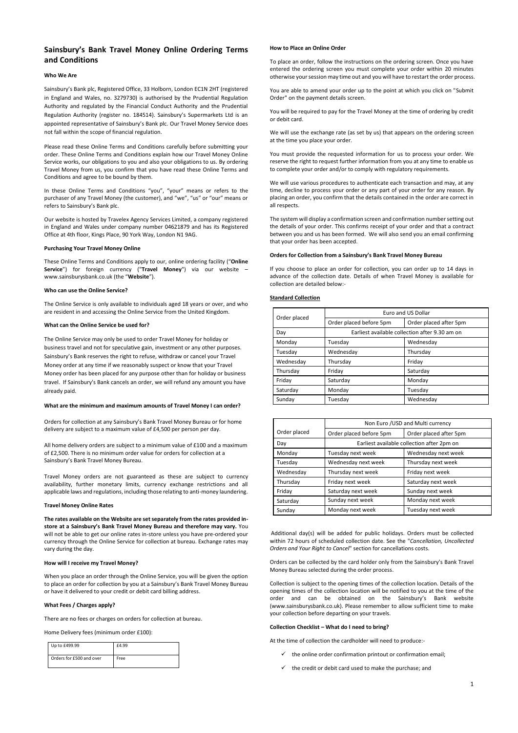1

# **Sainsbury's Bank Travel Money Online Ordering Terms and Conditions**

# **Who We Are**

Sainsbury's Bank plc, Registered Office, 33 Holborn, London EC1N 2HT (registered in England and Wales, no. 3279730) is authorised by the Prudential Regulation Authority and regulated by the Financial Conduct Authority and the Prudential Regulation Authority (register no. 184514). Sainsbury's Supermarkets Ltd is an appointed representative of Sainsbury's Bank plc. Our Travel Money Service does not fall within the scope of financial regulation.

Please read these Online Terms and Conditions carefully before submitting your order. These Online Terms and Conditions explain how our Travel Money Online Service works, our obligations to you and also your obligations to us. By ordering Travel Money from us, you confirm that you have read these Online Terms and Conditions and agree to be bound by them.

In these Online Terms and Conditions "you", "your" means or refers to the purchaser of any Travel Money (the customer), and "we", "us" or "our" means or refers to Sainsbury's Bank plc.

Our website is hosted by Travelex Agency Services Limited, a company registered in England and Wales under company number 04621879 and has its Registered Office at 4th floor, Kings Place, 90 York Way, London N1 9AG.

# **Purchasing Your Travel Money Online**

These Online Terms and Conditions apply to our, online ordering facility ("**Online Service**") for foreign currency ("**Travel Money**") via our website – www.sainsburysbank.co.uk (the "**Website**").

# **Who can use the Online Service?**

The Online Service is only available to individuals aged 18 years or over, and who are resident in and accessing the Online Service from the United Kingdom.

# **What can the Online Service be used for?**

The Online Service may only be used to order Travel Money for holiday or business travel and not for speculative gain, investment or any other purposes. Sainsbury's Bank reserves the right to refuse, withdraw or cancel your Travel Money order at any time if we reasonably suspect or know that your Travel Money order has been placed for any purpose other than for holiday or business travel. If Sainsbury's Bank cancels an order, we will refund any amount you have already paid.

# **What are the minimum and maximum amounts of Travel Money I can order?**

Orders for collection at any Sainsbury's Bank Travel Money Bureau or for home delivery are subject to a maximum value of £4,500 per person per day.

All home delivery orders are subject to a minimum value of £100 and a maximum of £2,500. There is no minimum order value for orders for collection at a Sainsbury's Bank Travel Money Bureau.

Travel Money orders are not guaranteed as these are subject to currency availability, further monetary limits, currency exchange restrictions and all applicable laws and regulations, including those relating to anti-money laundering.

# **Travel Money Online Rates**

**The rates available on the Website are set separately from the rates provided instore at a Sainsbury's Bank Travel Money Bureau and therefore may vary.** You will not be able to get our online rates in-store unless you have pre-ordered your currency through the Online Service for collection at bureau. Exchange rates may vary during the day.

# **How will I receive my Travel Money?**

When you place an order through the Online Service, you will be given the option to place an order for collection by you at a Sainsbury's Bank Travel Money Bureau or have it delivered to your credit or debit card billing address.

# **What Fees / Charges apply?**

There are no fees or charges on orders for collection at bureau.

Home Delivery fees (minimum order £100):

| Up to £499.99            | £4.99 |
|--------------------------|-------|
| Orders for £500 and over | Free  |

# **How to Place an Online Order**

To place an order, follow the instructions on the ordering screen. Once you have entered the ordering screen you must complete your order within 20 minutes otherwise your session may time out and you will have to restart the order process.

You are able to amend your order up to the point at which you click on "Submit Order" on the payment details screen.

You will be required to pay for the Travel Money at the time of ordering by credit or debit card.

We will use the exchange rate (as set by us) that appears on the ordering screen at the time you place your order.

You must provide the requested information for us to process your order. We reserve the right to request further information from you at any time to enable us to complete your order and/or to comply with regulatory requirements.

We will use various procedures to authenticate each transaction and may, at any time, decline to process your order or any part of your order for any reason. By placing an order, you confirm that the details contained in the order are correct in all respects.

The system will display a confirmation screen and confirmation number setting out the details of your order. This confirms receipt of your order and that a contract between you and us has been formed. We will also send you an email confirming that your order has been accepted.

# **Orders for Collection from a Sainsbury's Bank Travel Money Bureau**

If you choose to place an order for collection, you can order up to 14 days in advance of the collection date. Details of when Travel Money is available for collection are detailed below:-

# **Standard Collection**

| Order placed | Euro and US Dollar                             |                        |  |
|--------------|------------------------------------------------|------------------------|--|
|              | Order placed before 5pm                        | Order placed after 5pm |  |
| Day          | Earliest available collection after 9.30 am on |                        |  |
| Monday       | Tuesday                                        | Wednesday              |  |
| Tuesday      | Wednesday                                      | Thursday               |  |
| Wednesday    | Thursday                                       | Friday                 |  |
| Thursday     | Friday                                         | Saturday               |  |
| Friday       | Saturday                                       | Monday                 |  |
| Saturday     | Monday                                         | Tuesday                |  |
| Sunday       | Tuesdav                                        | Wednesday              |  |

Additional day(s) will be added for public holidays. Orders must be collected within 72 hours of scheduled collection date. See the "*Cancellation, Uncollected Orders and Your Right to Cancel*" section for cancellations costs.

Orders can be collected by the card holder only from the Sainsbury's Bank Travel Money Bureau selected during the order process.

Collection is subject to the opening times of the collection location. Details of the opening times of the collection location will be notified to you at the time of the order and can be obtained on the Sainsbury's Bank website (www.sainsburysbank.co.uk). Please remember to allow sufficient time to make your collection before departing on your travels.

### **Collection Checklist – What do I need to bring?**

At the time of collection the cardholder will need to produce:-

- $\checkmark$  the online order confirmation printout or confirmation email;
- $\checkmark$  the credit or debit card used to make the purchase; and

|              | Non Euro / USD and Multi currency          |                        |
|--------------|--------------------------------------------|------------------------|
| Order placed | Order placed before 5pm                    | Order placed after 5pm |
| Day          | Earliest available collection after 2pm on |                        |
| Monday       | Tuesday next week                          | Wednesday next week    |
| Tuesday      | Wednesday next week                        | Thursday next week     |
| Wednesday    | Thursday next week                         | Friday next week       |
| Thursday     | Friday next week                           | Saturday next week     |
| Friday       | Saturday next week                         | Sunday next week       |
| Saturday     | Sunday next week                           | Monday next week       |
| Sunday       | Monday next week                           | Tuesday next week      |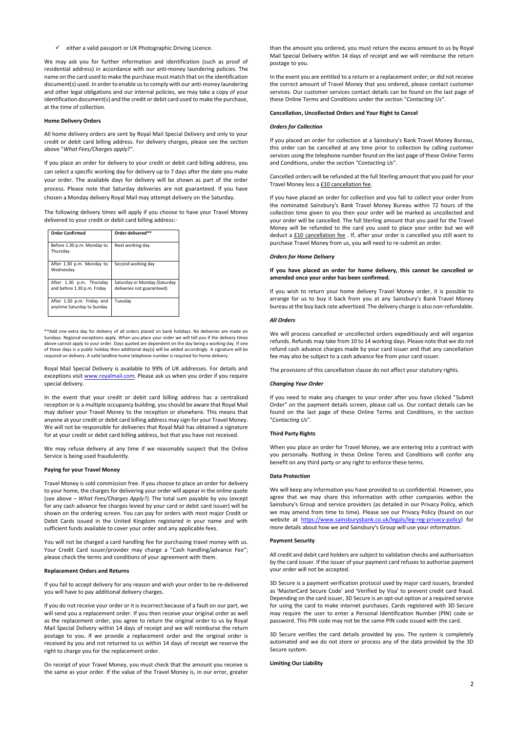$\checkmark$  either a valid passport or UK Photographic Driving Licence.

We may ask you for further information and identification (such as proof of residential address) in accordance with our anti-money laundering policies. The name on the card used to make the purchase must match that on the identification document(s) used. In order to enable us to comply with our anti-money laundering and other legal obligations and our internal policies, we may take a copy of your identification document(s) and the credit or debit card used to make the purchase, at the time of collection.

#### **Home Delivery Orders**

All home delivery orders are sent by Royal Mail Special Delivery and only to your credit or debit card billing address. For delivery charges, please see the section above "*What Fees/Charges apply*?".

If you place an order for delivery to your credit or debit card billing address, you can select a specific working day for delivery up to 7 days after the date you make your order. The available days for delivery will be shown as part of the order process. Please note that Saturday deliveries are not guaranteed. If you have chosen a Monday delivery Royal Mail may attempt delivery on the Saturday.

The following delivery times will apply if you choose to have your Travel Money delivered to your credit or debit card billing address:-

| <b>Order Confirmed</b>                                   | Order delivered**                                          |
|----------------------------------------------------------|------------------------------------------------------------|
| Before 1.30 p.m. Monday to<br>Thursday                   | Next working day                                           |
| After 1.30 p.m. Monday to<br>Wednesday                   | Second working day                                         |
| After 1.30 p.m. Thursday<br>and before 1.30 p.m. Friday  | Saturday or Monday (Saturday<br>deliveries not guaranteed) |
| After 1.30 p.m. Friday and<br>anytime Saturday to Sunday | Tuesday                                                    |

You will not be charged a card handling fee for purchasing travel money with us. Your Credit Card issuer/provider may charge a "Cash handling/advance Fee";

\*\*Add one extra day for delivery of all orders placed on bank holidays. No deliveries are made on Sundays. Regional exceptions apply. When you place your order we will tell you if the delivery times above cannot apply to your order. Days quoted are dependent on the day being a working day. If one of these days is a public holiday then additional day(s) will be added accordingly. A signature will be required on delivery. A valid landline home telephone number is required for home delivery.

Royal Mail Special Delivery is available to 99% of UK addresses. For details and exceptions visit [www.royalmail.com.](http://www.royalmail.com/) Please ask us when you order if you require special delivery.

In the event that your credit or debit card billing address has a centralised reception or is a multiple occupancy building, you should be aware that Royal Mail may deliver your Travel Money to the reception or elsewhere. This means that anyone at your credit or debit card billing address may sign for your Travel Money. We will not be responsible for deliveries that Royal Mail has obtained a signature for at your credit or debit card billing address, but that you have not received.

Cancelled orders will be refunded at the full Sterling amount that you paid for your Travel Money less a **£10 cancellation fee**.

We may refuse delivery at any time if we reasonably suspect that the Online Service is being used fraudulently.

#### **Paying for your Travel Money**

Travel Money is sold commission free. If you choose to place an order for delivery to your home, the charges for delivering your order will appear in the online quote (see above – *What Fees/Charges Apply?)*. The total sum payable by you (except for any cash advance fee charges levied by your card or debit card issuer) will be shown on the ordering screen. You can pay for orders with most major Credit or Debit Cards issued in the United Kingdom registered in your name and with sufficient funds available to cover your order and any applicable fees.

please check the terms and conditions of your agreement with them.

#### **Replacement Orders and Returns**

If you fail to accept delivery for any reason and wish your order to be re-delivered you will have to pay additional delivery charges.

If you do not receive your order or it is incorrect because of a fault on our part, we will send you a replacement order. If you then receive your original order as well as the replacement order, you agree to return the original order to us by Royal Mail Special Delivery within 14 days of receipt and we will reimburse the return postage to you. If we provide a replacement order and the original order is received by you and not returned to us within 14 days of receipt we reserve the right to charge you for the replacement order.

On receipt of your Travel Money, you must check that the amount you receive is the same as your order. If the value of the Travel Money is, in our error, greater than the amount you ordered, you must return the excess amount to us by Royal Mail Special Delivery within 14 days of receipt and we will reimburse the return postage to you.

In the event you are entitled to a return or a replacement order; or did not receive the correct amount of Travel Money that you ordered, please contact customer services. Our customer services contact details can be found on the last page of these Online Terms and Conditions under the section "*Contacting Us*".

### **Cancellation, Uncollected Orders and Your Right to Cancel**

#### *Orders for Collection*

If you placed an order for collection at a Sainsbury's Bank Travel Money Bureau, this order can be cancelled at any time prior to collection by calling customer services using the telephone number found on the last page of these Online Terms and Conditions, under the section *"Contacting Us*".

If you have placed an order for collection and you fail to collect your order from the nominated Sainsbury's Bank Travel Money Bureau within 72 hours of the collection time given to you then your order will be marked as uncollected and your order will be cancelled. The full Sterling amount that you paid for the Travel Money will be refunded to the card you used to place your order but we will deduct a £10 cancellation fee . If, after your order is cancelled you still want to purchase Travel Money from us, you will need to re-submit an order.

# *Orders for Home Delivery*

# **If you have placed an order for home delivery, this cannot be cancelled or amended once your order has been confirmed.**

If you wish to return your home delivery Travel Money order, it is possible to arrange for us to buy it back from you at any Sainsbury's Bank Travel Money bureau at the buy back rate advertised. The delivery charge is also non-refundable.

### *All Orders*

We will process cancelled or uncollected orders expeditiously and will organise refunds. Refunds may take from 10 to 14 working days. Please note that we do not refund cash advance charges made by your card issuer and that any cancellation fee may also be subject to a cash advance fee from your card issuer.

The provisions of this cancellation clause do not affect your statutory rights.

#### *Changing Your Order*

If you need to make any changes to your order after you have clicked "Submit Order" on the payment details screen, please call us. Our contact details can be found on the last page of these Online Terms and Conditions, in the section "*Contacting Us*".

#### **Third Party Rights**

When you place an order for Travel Money, we are entering into a contract with you personally. Nothing in these Online Terms and Conditions will confer any benefit on any third party or any right to enforce these terms.

#### **Data Protection**

We will keep any information you have provided to us confidential. However, you agree that we may share this information with other companies within the Sainsbury's Group and service providers (as detailed in our Privacy Policy, which we may amend from time to time). Please see our Privacy Policy (found on our website at [https://www.sainsburysbank.co.uk/legals/leg-reg-privacy-policy\)](http://cp.mcafee.com/d/5fHCNASy-ztVwQsCzAsyrKrjhKMqemkQhOpJ6XXXzPzXypJ6XytT4XFI6QknDDHTd7dNNIh-49e_7zSXrg5kSka46UBG4dwlWRuraCWra523siR26MaZqLdBjoVV0wxvn-LObXWqb3fnKnjKUVPa9EVpo7eth4sJtdmXafaxVZicHs3jqpJcTvAQT7CbThuvdTdAVPmEBC5eFIEk8dNbk8r0HRGYSlM_OeDQM_O9ufAiWQp6tImbHlfBoIr8Ryxm7aXquCpk9wGxfRz7E8sKrhKqen6m6job6Azh05qX2xEw1bgBgQg6BIo020Fsa-hQYeApUn3gVxwsOMMedbFJyVK4bLZAW1) for more details about how we and Sainsbury's Group will use your information.

# **Payment Security**

All credit and debit card holders are subject to validation checks and authorisation by the card issuer. If the issuer of your payment card refuses to authorise payment your order will not be accepted.

3D Secure is a payment verification protocol used by major card issuers, branded as 'MasterCard Secure Code' and 'Verified by Visa' to prevent credit card fraud. Depending on the card issuer, 3D Secure is an opt-out option or a required service for using the card to make internet purchases. Cards registered with 3D Secure may require the user to enter a Personal Identification Number (PIN) code or password. This PIN code may not be the same PIN code issued with the card.

3D Secure verifies the card details provided by you. The system is completely automated and we do not store or process any of the data provided by the 3D Secure system.

**Limiting Our Liability**